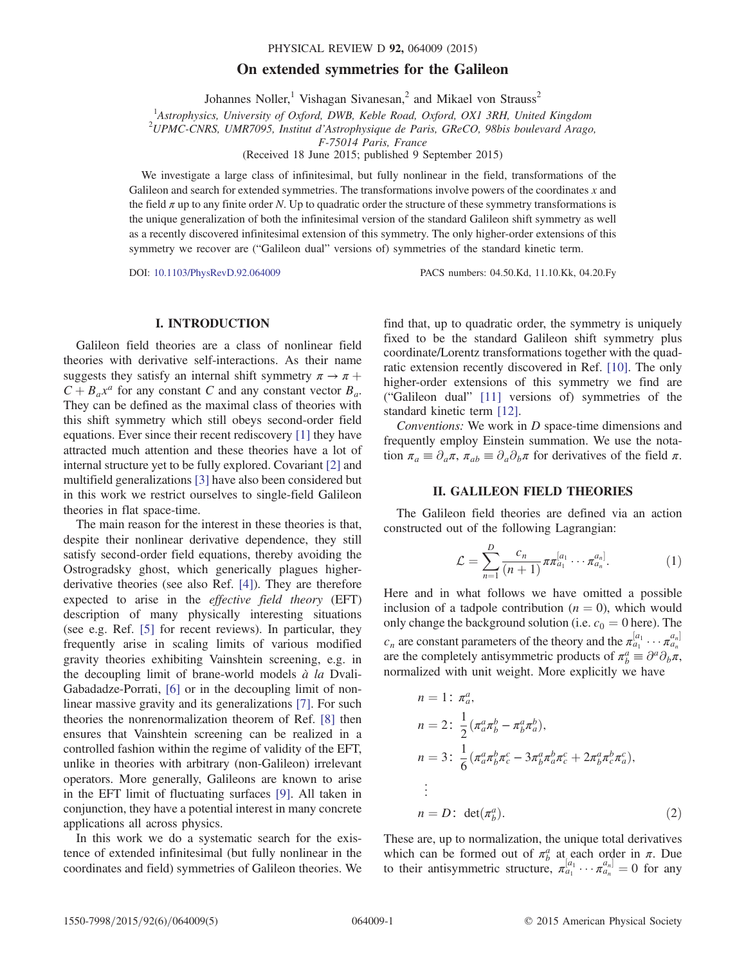#### PHYSICAL REVIEW D 92, 064009 (2015)

# On extended symmetries for the Galileon

Johannes Noller,<sup>1</sup> Vishagan Sivanesan,<sup>2</sup> and Mikael von Strauss<sup>2</sup>

<sup>1</sup>Astrophysics, University of Oxford, DWB, Keble Road, Oxford, OX1 3RH, United Kingdom<br><sup>2</sup>UDMC CNBS, UMB7005, Institut d'Astrophysique de Baris, CBeCO, 08bis haulaugud Arago

 $^{2}UPMC$ -CNRS, UMR7095, Institut d'Astrophysique de Paris, GReCO, 98bis boulevard Arago,

F-75014 Paris, France

(Received 18 June 2015; published 9 September 2015)

We investigate a large class of infinitesimal, but fully nonlinear in the field, transformations of the Galileon and search for extended symmetries. The transformations involve powers of the coordinates  $x$  and the field  $\pi$  up to any finite order N. Up to quadratic order the structure of these symmetry transformations is the unique generalization of both the infinitesimal version of the standard Galileon shift symmetry as well as a recently discovered infinitesimal extension of this symmetry. The only higher-order extensions of this symmetry we recover are ("Galileon dual" versions of) symmetries of the standard kinetic term.

DOI: [10.1103/PhysRevD.92.064009](http://dx.doi.org/10.1103/PhysRevD.92.064009) PACS numbers: 04.50.Kd, 11.10.Kk, 04.20.Fy

## I. INTRODUCTION

Galileon field theories are a class of nonlinear field theories with derivative self-interactions. As their name suggests they satisfy an internal shift symmetry  $\pi \to \pi +$  $C + B_a x^a$  for any constant C and any constant vector  $B_a$ . They can be defined as the maximal class of theories with this shift symmetry which still obeys second-order field equations. Ever since their recent rediscovery [\[1\]](#page-4-0) they have attracted much attention and these theories have a lot of internal structure yet to be fully explored. Covariant [\[2\]](#page-4-1) and multifield generalizations [\[3\]](#page-4-2) have also been considered but in this work we restrict ourselves to single-field Galileon theories in flat space-time.

The main reason for the interest in these theories is that, despite their nonlinear derivative dependence, they still satisfy second-order field equations, thereby avoiding the Ostrogradsky ghost, which generically plagues higherderivative theories (see also Ref. [\[4\]](#page-4-3)). They are therefore expected to arise in the effective field theory (EFT) description of many physically interesting situations (see e.g. Ref. [\[5\]](#page-4-4) for recent reviews). In particular, they frequently arise in scaling limits of various modified gravity theories exhibiting Vainshtein screening, e.g. in the decoupling limit of brane-world models  $\dot{a}$  la Dvali-Gabadadze-Porrati, [\[6\]](#page-4-5) or in the decoupling limit of nonlinear massive gravity and its generalizations [\[7\]](#page-4-6). For such theories the nonrenormalization theorem of Ref. [\[8\]](#page-4-7) then ensures that Vainshtein screening can be realized in a controlled fashion within the regime of validity of the EFT, unlike in theories with arbitrary (non-Galileon) irrelevant operators. More generally, Galileons are known to arise in the EFT limit of fluctuating surfaces [\[9\]](#page-4-8). All taken in conjunction, they have a potential interest in many concrete applications all across physics.

In this work we do a systematic search for the existence of extended infinitesimal (but fully nonlinear in the coordinates and field) symmetries of Galileon theories. We find that, up to quadratic order, the symmetry is uniquely fixed to be the standard Galileon shift symmetry plus coordinate/Lorentz transformations together with the quadratic extension recently discovered in Ref. [\[10\].](#page-4-9) The only higher-order extensions of this symmetry we find are ("Galileon dual" [\[11\]](#page-4-10) versions of) symmetries of the standard kinetic term [\[12\]](#page-4-11).

Conventions: We work in D space-time dimensions and frequently employ Einstein summation. We use the notation  $\pi_a \equiv \partial_a \pi$ ,  $\pi_{ab} \equiv \partial_a \partial_b \pi$  for derivatives of the field  $\pi$ .

## II. GALILEON FIELD THEORIES

<span id="page-0-0"></span>The Galileon field theories are defined via an action constructed out of the following Lagrangian:

$$
\mathcal{L} = \sum_{n=1}^{D} \frac{c_n}{(n+1)} \pi \pi a_1^{[a_1} \cdots \pi a_n^{a_n]}.
$$
 (1)

Here and in what follows we have omitted a possible inclusion of a tadpole contribution ( $n = 0$ ), which would only change the background solution (i.e.  $c_0 = 0$  here). The  $c_n$  are constant parameters of the theory and the  $\pi_{a_1}^{[a_1} \cdots \pi_{a_n}^{a_n]}$ <br>are the completely antisymmetric products of  $\pi^a = \partial^a \partial \cdot \pi$ are the completely antisymmetric products of  $\pi^a_\beta \equiv \partial^a \partial_b \pi$ , normalized with unit weight. More explicitly we have

$$
n = 1: \pi_a^a,
$$
  
\n
$$
n = 2: \frac{1}{2} (\pi_a^a \pi_b^b - \pi_b^a \pi_a^b),
$$
  
\n
$$
n = 3: \frac{1}{6} (\pi_a^a \pi_b^b \pi_c^c - 3\pi_b^a \pi_a^b \pi_c^c + 2\pi_b^a \pi_c^b \pi_a^c),
$$
  
\n
$$
\vdots
$$
  
\n
$$
n = D: \det(\pi_b^a).
$$
\n(2)

These are, up to normalization, the unique total derivatives which can be formed out of  $\pi_b^a$  at each order in  $\pi$ . Due to their antisymmetric structure,  $\pi_{a_1}^{[a_1} \cdots \pi_{a_n}^{a_n]} = 0$  for any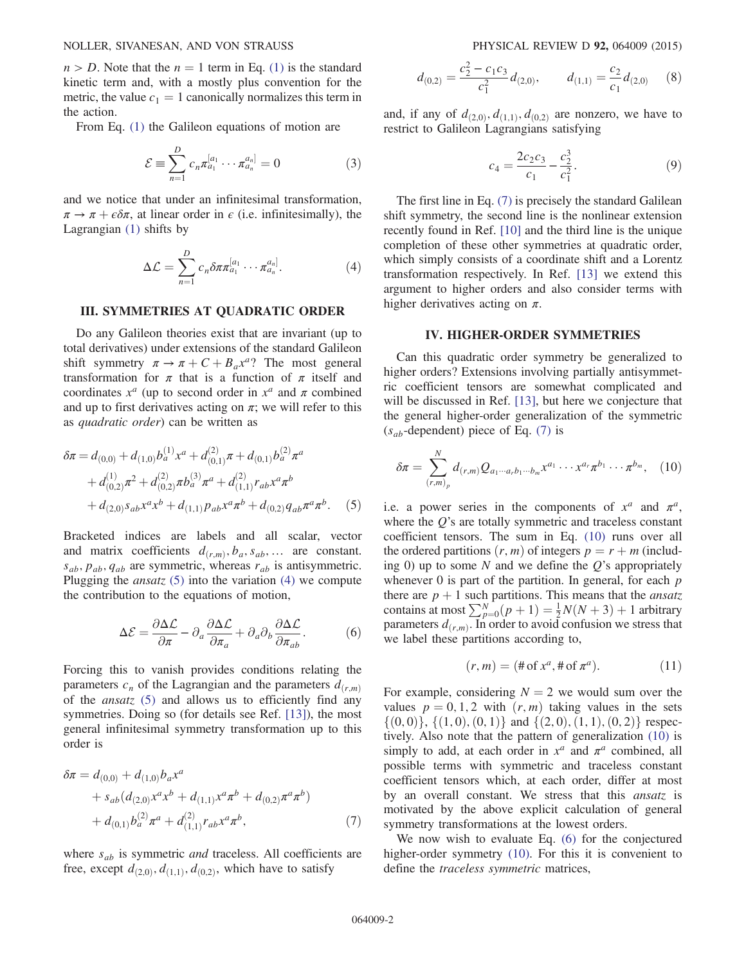$n > D$ . Note that the  $n = 1$  term in Eq. [\(1\)](#page-0-0) is the standard kinetic term and, with a mostly plus convention for the metric, the value  $c_1 = 1$  canonically normalizes this term in the action.

From Eq. [\(1\)](#page-0-0) the Galileon equations of motion are

$$
\mathcal{E} \equiv \sum_{n=1}^{D} c_n \pi_{a_1}^{[a_1} \cdots \pi_{a_n}^{a_n]} = 0
$$
 (3)

<span id="page-1-1"></span>and we notice that under an infinitesimal transformation,  $\pi \to \pi + \epsilon \delta \pi$ , at linear order in  $\epsilon$  (i.e. infinitesimally), the Lagrangian [\(1\)](#page-0-0) shifts by

$$
\Delta \mathcal{L} = \sum_{n=1}^{D} c_n \delta \pi \pi_{a_1}^{[a_1} \cdots \pi_{a_n}^{a_n]}.
$$
 (4)

#### III. SYMMETRIES AT QUADRATIC ORDER

Do any Galileon theories exist that are invariant (up to total derivatives) under extensions of the standard Galileon shift symmetry  $\pi \to \pi + C + B_{\alpha} x^{\alpha}$ ? The most general transformation for  $\pi$  that is a function of  $\pi$  itself and coordinates  $x^a$  (up to second order in  $x^a$  and  $\pi$  combined and up to first derivatives acting on  $\pi$ ; we will refer to this as quadratic order) can be written as

<span id="page-1-0"></span>
$$
\delta \pi = d_{(0,0)} + d_{(1,0)} b_a^{(1)} x^a + d_{(0,1)}^{(2)} \pi + d_{(0,1)} b_a^{(2)} \pi^a + d_{(0,2)}^{(1)} \pi^2 + d_{(0,2)}^{(2)} \pi b_a^{(3)} \pi^a + d_{(1,1)}^{(2)} r_{ab} x^a \pi^b + d_{(2,0)} s_{ab} x^a x^b + d_{(1,1)} p_{ab} x^a \pi^b + d_{(0,2)} q_{ab} \pi^a \pi^b.
$$
 (5)

<span id="page-1-4"></span>Bracketed indices are labels and all scalar, vector and matrix coefficients  $d_{(r,m)}, b_a, s_{ab}, \ldots$  are constant.  $s_{ab}$ ,  $p_{ab}$ ,  $q_{ab}$  are symmetric, whereas  $r_{ab}$  is antisymmetric. Plugging the *ansatz*  $(5)$  into the variation  $(4)$  we compute the contribution to the equations of motion,

$$
\Delta \mathcal{E} = \frac{\partial \Delta \mathcal{L}}{\partial \pi} - \partial_a \frac{\partial \Delta \mathcal{L}}{\partial \pi_a} + \partial_a \partial_b \frac{\partial \Delta \mathcal{L}}{\partial \pi_{ab}}.
$$
 (6)

Forcing this to vanish provides conditions relating the parameters  $c_n$  of the Lagrangian and the parameters  $d_{(r,m)}$ of the *ansatz*  $(5)$  and allows us to efficiently find any symmetries. Doing so (for details see Ref. [\[13\]](#page-4-12)), the most general infinitesimal symmetry transformation up to this order is

<span id="page-1-2"></span>
$$
\delta \pi = d_{(0,0)} + d_{(1,0)} b_a x^a + s_{ab} (d_{(2,0)} x^a x^b + d_{(1,1)} x^a \pi^b + d_{(0,2)} \pi^a \pi^b) + d_{(0,1)} b_a^{(2)} \pi^a + d_{(1,1)}^{(2)} r_{ab} x^a \pi^b,
$$
(7)

where  $s_{ab}$  is symmetric *and* traceless. All coefficients are free, except  $d_{(2,0)}, d_{(1,1)}, d_{(0,2)}$ , which have to satisfy

$$
d_{(0,2)} = \frac{c_2^2 - c_1 c_3}{c_1^2} d_{(2,0)}, \qquad d_{(1,1)} = \frac{c_2}{c_1} d_{(2,0)} \qquad (8)
$$

and, if any of  $d_{(2,0)}, d_{(1,1)}, d_{(0,2)}$  are nonzero, we have to restrict to Galileon Lagrangians satisfying

$$
c_4 = \frac{2c_2c_3}{c_1} - \frac{c_2^3}{c_1^2}.
$$
 (9)

The first line in Eq. [\(7\)](#page-1-2) is precisely the standard Galilean shift symmetry, the second line is the nonlinear extension recently found in Ref. [\[10\]](#page-4-9) and the third line is the unique completion of these other symmetries at quadratic order, which simply consists of a coordinate shift and a Lorentz transformation respectively. In Ref. [\[13\]](#page-4-12) we extend this argument to higher orders and also consider terms with higher derivatives acting on  $\pi$ .

## IV. HIGHER-ORDER SYMMETRIES

Can this quadratic order symmetry be generalized to higher orders? Extensions involving partially antisymmetric coefficient tensors are somewhat complicated and will be discussed in Ref. [\[13\],](#page-4-12) but here we conjecture that the general higher-order generalization of the symmetric  $(s_{ab}$ -dependent) piece of Eq. [\(7\)](#page-1-2) is

<span id="page-1-3"></span>
$$
\delta \pi = \sum_{(r,m)_p}^N d_{(r,m)} Q_{a_1 \cdots a_r b_1 \cdots b_m} x^{a_1} \cdots x^{a_r} \pi^{b_1} \cdots \pi^{b_m}, \quad (10)
$$

i.e. a power series in the components of  $x^a$  and  $\pi^a$ , where the  $Q$ 's are totally symmetric and traceless constant coefficient tensors. The sum in Eq. [\(10\)](#page-1-3) runs over all the ordered partitions  $(r, m)$  of integers  $p = r + m$  (including 0) up to some N and we define the  $Q$ 's appropriately whenever 0 is part of the partition. In general, for each  $p$ there are  $p + 1$  such partitions. This means that the *ansatz* contains at most  $\sum_{p=0}^{N} (p + 1) = \frac{1}{2} N(N + 3) + 1$  arbitrary<br>parameters  $d_{\ell}$ . In order to avoid confusion we stress that parameters  $d_{(r,m)}$ . In order to avoid confusion we stress that we label these partitions according to,

$$
(r,m) = (\# \text{ of } x^a, \# \text{ of } \pi^a). \tag{11}
$$

For example, considering  $N = 2$  we would sum over the values  $p = 0, 1, 2$  with  $(r, m)$  taking values in the sets  $\{(0,0)\}, \{(1,0), (0,1)\}\$  and  $\{(2,0), (1,1), (0,2)\}\$  respectively. Also note that the pattern of generalization [\(10\)](#page-1-3) is simply to add, at each order in  $x^a$  and  $\pi^a$  combined, all possible terms with symmetric and traceless constant coefficient tensors which, at each order, differ at most by an overall constant. We stress that this ansatz is motivated by the above explicit calculation of general symmetry transformations at the lowest orders.

We now wish to evaluate Eq. [\(6\)](#page-1-4) for the conjectured higher-order symmetry [\(10\).](#page-1-3) For this it is convenient to define the traceless symmetric matrices,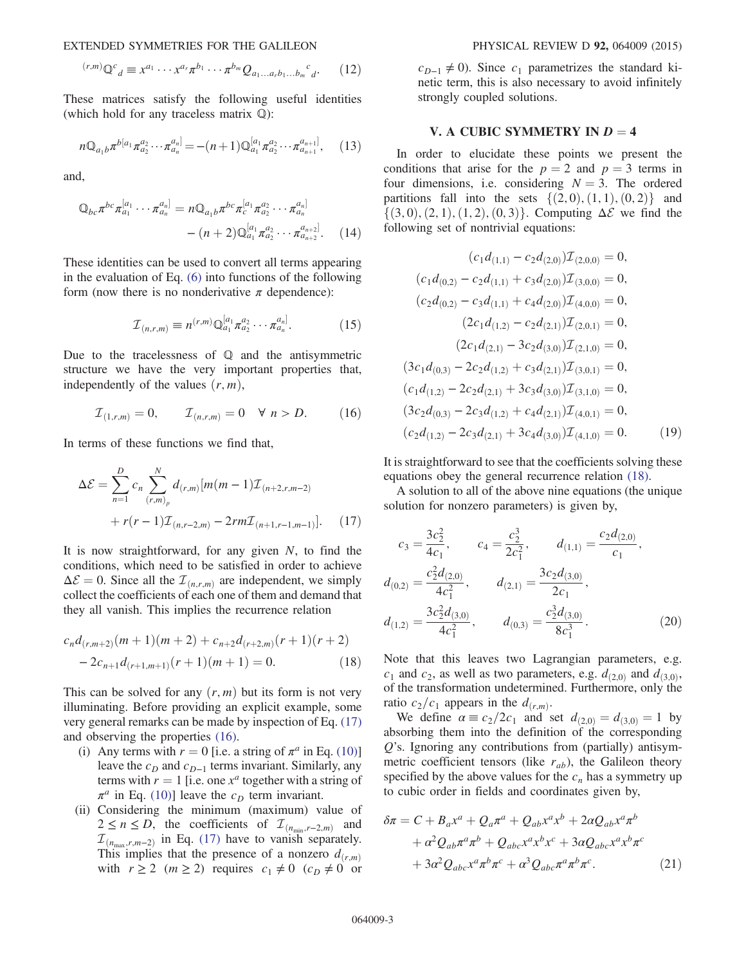EXTENDED SYMMETRIES FOR THE GALILEON PHYSICAL REVIEW D 92, 064009 (2015)

$$
^{(r,m)}\mathbb{Q}^c{}_d \equiv x^{a_1} \cdots x^{a_r} \pi^{b_1} \cdots \pi^{b_m} Q_{a_1 \ldots a_r b_1 \ldots b_m}{}^c{}_d. \tag{12}
$$

These matrices satisfy the following useful identities (which hold for any traceless matrix Q):

$$
n\mathbb{Q}_{a_1b}\pi^{b[a_1}\pi_{a_2}^{a_2}\cdots\pi_{a_n}^{a_n]} = -(n+1)\mathbb{Q}_{a_1}^{[a_1}\pi_{a_2}^{a_2}\cdots\pi_{a_{n+1}}^{a_{n+1}]},\quad(13)
$$

and,

$$
\mathbb{Q}_{bc}\pi^{bc}\pi_{a_1}^{[a_1}\cdots\pi_{a_n}^{a_n]} = n\mathbb{Q}_{a_1b}\pi^{bc}\pi_c^{[a_1}\pi_{a_2}^{a_2}\cdots\pi_{a_n}^{a_n]}
$$

$$
-(n+2)\mathbb{Q}_{a_1}^{[a_1}\pi_{a_2}^{a_2}\cdots\pi_{a_{n+2}}^{a_{n+2}}.\qquad(14)
$$

These identities can be used to convert all terms appearing in the evaluation of Eq. [\(6\)](#page-1-4) into functions of the following form (now there is no nonderivative  $\pi$  dependence):

$$
\mathcal{I}_{(n,r,m)} \equiv n^{(r,m)} \mathbb{Q}_{a_1}^{[a_1} \pi_{a_2}^{a_2} \cdots \pi_{a_n}^{a_n}.
$$
 (15)

<span id="page-2-1"></span>Due to the tracelessness of  $Q$  and the antisymmetric structure we have the very important properties that, independently of the values  $(r, m)$ ,

$$
\mathcal{I}_{(1,r,m)} = 0, \qquad \mathcal{I}_{(n,r,m)} = 0 \quad \forall \; n > D. \tag{16}
$$

<span id="page-2-0"></span>In terms of these functions we find that,

$$
\Delta \mathcal{E} = \sum_{n=1}^{D} c_n \sum_{(r,m)_p}^{N} d_{(r,m)} [m(m-1) \mathcal{I}_{(n+2,r,m-2)} + r(r-1) \mathcal{I}_{(n,r-2,m)} - 2rm \mathcal{I}_{(n+1,r-1,m-1)}]. \tag{17}
$$

<span id="page-2-2"></span>It is now straightforward, for any given  $N$ , to find the conditions, which need to be satisfied in order to achieve  $\Delta \mathcal{E} = 0$ . Since all the  $\mathcal{I}_{(n,r,m)}$  are independent, we simply collect the coefficients of each one of them and demand that they all vanish. This implies the recurrence relation

$$
c_n d_{(r,m+2)}(m+1)(m+2) + c_{n+2} d_{(r+2,m)}(r+1)(r+2) - 2c_{n+1} d_{(r+1,m+1)}(r+1)(m+1) = 0.
$$
 (18)

This can be solved for any  $(r, m)$  but its form is not very illuminating. Before providing an explicit example, some very general remarks can be made by inspection of Eq. [\(17\)](#page-2-0) and observing the properties [\(16\)](#page-2-1).

- (i) Any terms with  $r = 0$  [i.e. a string of  $\pi^a$  in Eq. [\(10\)\]](#page-1-3) leave the  $c_D$  and  $c_{D-1}$  terms invariant. Similarly, any terms with  $r = 1$  [i.e. one  $x^a$  together with a string of  $\pi^a$  in Eq. [\(10\)\]](#page-1-3) leave the  $c_D$  term invariant.
- (ii) Considering the minimum (maximum) value of  $2 \le n \le D$ , the coefficients of  $\mathcal{I}_{(n_{\min},r-2,m)}$  and  $\mathcal{I}_{(n_{\text{max}},r,m-2)}$  in Eq. [\(17\)](#page-2-0) have to vanish separately.<br>This implies that the presence of a popzero d This implies that the presence of a nonzero  $d_{(r,m)}$ with  $r \ge 2$   $(m \ge 2)$  requires  $c_1 \ne 0$   $(c_D \ne 0)$  or

 $c_{D-1} \neq 0$ ). Since  $c_1$  parametrizes the standard kinetic term, this is also necessary to avoid infinitely strongly coupled solutions.

#### V. A CUBIC SYMMETRY IN  $D = 4$

In order to elucidate these points we present the conditions that arise for the  $p = 2$  and  $p = 3$  terms in four dimensions, i.e. considering  $N = 3$ . The ordered partitions fall into the sets  $\{(2,0),(1,1),(0,2)\}\$  and  $\{(3,0), (2,1), (1,2), (0,3)\}.$  Computing  $\Delta \mathcal{E}$  we find the following set of nontrivial equations:

$$
(c_1d_{(1,1)} - c_2d_{(2,0)})\mathcal{I}_{(2,0,0)} = 0,
$$
  
\n
$$
(c_1d_{(0,2)} - c_2d_{(1,1)} + c_3d_{(2,0)})\mathcal{I}_{(3,0,0)} = 0,
$$
  
\n
$$
(c_2d_{(0,2)} - c_3d_{(1,1)} + c_4d_{(2,0)})\mathcal{I}_{(4,0,0)} = 0,
$$
  
\n
$$
(2c_1d_{(1,2)} - c_2d_{(2,1)})\mathcal{I}_{(2,0,1)} = 0,
$$
  
\n
$$
(2c_1d_{(2,1)} - 3c_2d_{(3,0)})\mathcal{I}_{(2,1,0)} = 0,
$$
  
\n
$$
(3c_1d_{(0,3)} - 2c_2d_{(1,2)} + c_3d_{(2,1)})\mathcal{I}_{(3,0,1)} = 0,
$$
  
\n
$$
(c_1d_{(1,2)} - 2c_2d_{(2,1)} + 3c_3d_{(3,0)})\mathcal{I}_{(3,1,0)} = 0,
$$
  
\n
$$
(3c_2d_{(0,3)} - 2c_3d_{(1,2)} + c_4d_{(2,1)})\mathcal{I}_{(4,0,1)} = 0,
$$
  
\n
$$
(c_2d_{(1,2)} - 2c_3d_{(2,1)} + 3c_4d_{(3,0)})\mathcal{I}_{(4,1,0)} = 0.
$$
 (19)

It is straightforward to see that the coefficients solving these equations obey the general recurrence relation [\(18\)](#page-2-2).

A solution to all of the above nine equations (the unique solution for nonzero parameters) is given by,

$$
c_3 = \frac{3c_2^2}{4c_1}, \qquad c_4 = \frac{c_2^3}{2c_1^2}, \qquad d_{(1,1)} = \frac{c_2 d_{(2,0)}}{c_1},
$$
  

$$
d_{(0,2)} = \frac{c_2^2 d_{(2,0)}}{4c_1^2}, \qquad d_{(2,1)} = \frac{3c_2 d_{(3,0)}}{2c_1},
$$
  

$$
d_{(1,2)} = \frac{3c_2^2 d_{(3,0)}}{4c_1^2}, \qquad d_{(0,3)} = \frac{c_2^3 d_{(3,0)}}{8c_1^3}.
$$
 (20)

Note that this leaves two Lagrangian parameters, e.g.  $c_1$  and  $c_2$ , as well as two parameters, e.g.  $d_{(2,0)}$  and  $d_{(3,0)}$ , of the transformation undetermined. Furthermore, only the ratio  $c_2/c_1$  appears in the  $d_{(r,m)}$ .

We define  $\alpha \equiv c_2/2c_1$  and set  $d_{(2,0)} = d_{(3,0)} = 1$  by absorbing them into the definition of the corresponding Q's. Ignoring any contributions from (partially) antisymmetric coefficient tensors (like  $r_{ab}$ ), the Galileon theory specified by the above values for the  $c_n$  has a symmetry up to cubic order in fields and coordinates given by,

<span id="page-2-3"></span>
$$
\delta \pi = C + B_a x^a + Q_a \pi^a + Q_{ab} x^a x^b + 2 \alpha Q_{ab} x^a \pi^b
$$
  
+  $\alpha^2 Q_{ab} \pi^a \pi^b + Q_{abc} x^a x^b x^c + 3 \alpha Q_{abc} x^a x^b \pi^c$   
+  $3 \alpha^2 Q_{abc} x^a \pi^b \pi^c + \alpha^3 Q_{abc} \pi^a \pi^b \pi^c$ . (21)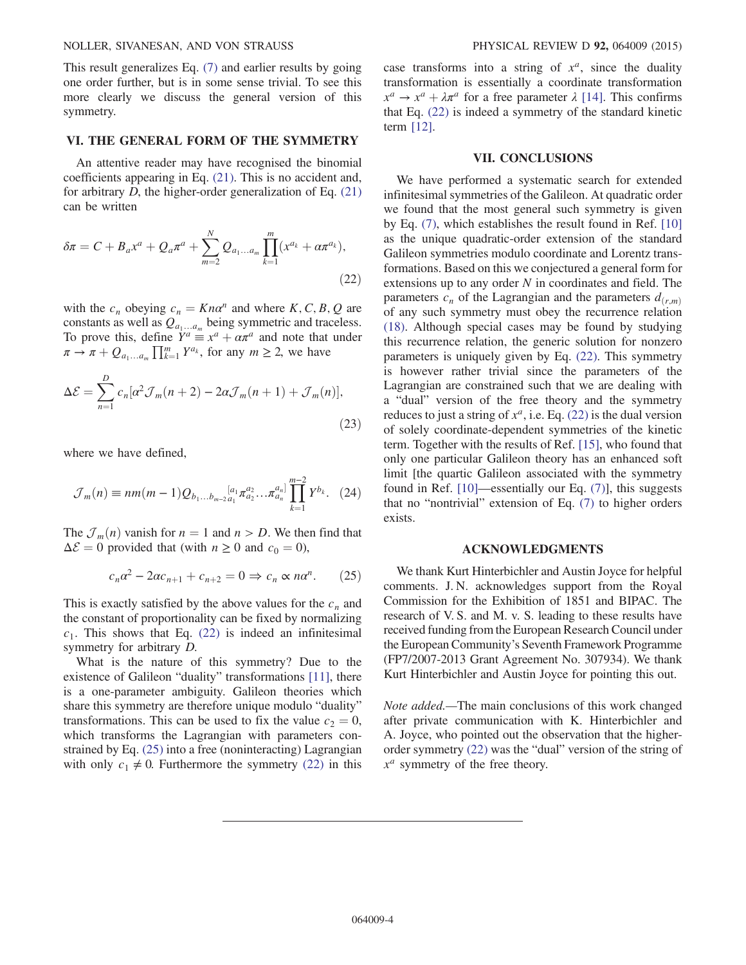#### NOLLER, SIVANESAN, AND VON STRAUSS PHYSICAL REVIEW D 92, 064009 (2015)

This result generalizes Eq. [\(7\)](#page-1-2) and earlier results by going one order further, but is in some sense trivial. To see this more clearly we discuss the general version of this symmetry.

#### VI. THE GENERAL FORM OF THE SYMMETRY

An attentive reader may have recognised the binomial coefficients appearing in Eq. [\(21\).](#page-2-3) This is no accident and, for arbitrary  $D$ , the higher-order generalization of Eq.  $(21)$ can be written

<span id="page-3-0"></span>
$$
\delta \pi = C + B_a x^a + Q_a \pi^a + \sum_{m=2}^{N} Q_{a_1...a_m} \prod_{k=1}^{m} (x^{a_k} + \alpha \pi^{a_k}),
$$
\n(22)

with the  $c_n$  obeying  $c_n = K n a^n$  and where K, C, B, Q are constants as well as  $Q_{a_1...a_m}$  being symmetric and traceless. To prove this, define  $Y^a \equiv x^a + \alpha \pi^a$  and note that under  $\pi \to \pi + Q_{a_1...a_m} \prod_{k=1}^m Y^{a_k}$ , for any  $m \ge 2$ , we have

$$
\Delta \mathcal{E} = \sum_{n=1}^{D} c_n [\alpha^2 \mathcal{J}_m(n+2) - 2\alpha \mathcal{J}_m(n+1) + \mathcal{J}_m(n)],
$$
\n(23)

where we have defined,

$$
\mathcal{J}_m(n) \equiv nm(m-1)Q_{b_1...b_{m-2}a_1}a_1a_2a_2...a_n^{a_n} \prod_{k=1}^{m-2} Y^{b_k}.
$$
 (24)

<span id="page-3-1"></span>The  $\mathcal{J}_m(n)$  vanish for  $n = 1$  and  $n > D$ . We then find that  $\Delta \mathcal{E} = 0$  provided that (with  $n \geq 0$  and  $c_0 = 0$ ),

$$
c_n \alpha^2 - 2\alpha c_{n+1} + c_{n+2} = 0 \Rightarrow c_n \propto n\alpha^n. \tag{25}
$$

This is exactly satisfied by the above values for the  $c_n$  and the constant of proportionality can be fixed by normalizing  $c_1$ . This shows that Eq. [\(22\)](#page-3-0) is indeed an infinitesimal symmetry for arbitrary D.

What is the nature of this symmetry? Due to the existence of Galileon "duality" transformations [\[11\],](#page-4-10) there is a one-parameter ambiguity. Galileon theories which share this symmetry are therefore unique modulo "duality" transformations. This can be used to fix the value  $c_2 = 0$ , which transforms the Lagrangian with parameters constrained by Eq. [\(25\)](#page-3-1) into a free (noninteracting) Lagrangian with only  $c_1 \neq 0$ . Furthermore the symmetry [\(22\)](#page-3-0) in this case transforms into a string of  $x^a$ , since the duality transformation is essentially a coordinate transformation  $x^a \rightarrow x^a + \lambda \pi^a$  for a free parameter  $\lambda$  [\[14\].](#page-4-13) This confirms that Eq. [\(22\)](#page-3-0) is indeed a symmetry of the standard kinetic term [\[12\].](#page-4-11)

### VII. CONCLUSIONS

We have performed a systematic search for extended infinitesimal symmetries of the Galileon. At quadratic order we found that the most general such symmetry is given by Eq. [\(7\)](#page-1-2), which establishes the result found in Ref. [\[10\]](#page-4-9) as the unique quadratic-order extension of the standard Galileon symmetries modulo coordinate and Lorentz transformations. Based on this we conjectured a general form for extensions up to any order  $N$  in coordinates and field. The parameters  $c_n$  of the Lagrangian and the parameters  $d_{(r,m)}$ of any such symmetry must obey the recurrence relation [\(18\)](#page-2-2). Although special cases may be found by studying this recurrence relation, the generic solution for nonzero parameters is uniquely given by Eq. [\(22\)](#page-3-0). This symmetry is however rather trivial since the parameters of the Lagrangian are constrained such that we are dealing with a "dual" version of the free theory and the symmetry reduces to just a string of  $x^a$ , i.e. Eq. [\(22\)](#page-3-0) is the dual version of solely coordinate-dependent symmetries of the kinetic term. Together with the results of Ref. [\[15\]](#page-4-14), who found that only one particular Galileon theory has an enhanced soft limit [the quartic Galileon associated with the symmetry found in Ref. [\[10\]](#page-4-9)—essentially our Eq. [\(7\)\]](#page-1-2), this suggests that no "nontrivial" extension of Eq. [\(7\)](#page-1-2) to higher orders exists.

#### ACKNOWLEDGMENTS

We thank Kurt Hinterbichler and Austin Joyce for helpful comments. J. N. acknowledges support from the Royal Commission for the Exhibition of 1851 and BIPAC. The research of V. S. and M. v. S. leading to these results have received funding from the European Research Council under the European Community's Seventh Framework Programme (FP7/2007-2013 Grant Agreement No. 307934). We thank Kurt Hinterbichler and Austin Joyce for pointing this out.

Note added.—The main conclusions of this work changed after private communication with K. Hinterbichler and A. Joyce, who pointed out the observation that the higherorder symmetry [\(22\)](#page-3-0) was the "dual" version of the string of  $x^a$  symmetry of the free theory.